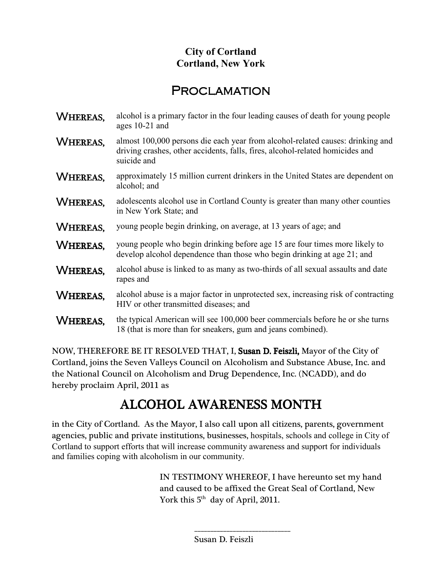## **City of Cortland Cortland, New York**

## **PROCLAMATION**

| WHEREAS,        | alcohol is a primary factor in the four leading causes of death for young people<br>ages 10-21 and                                                                             |
|-----------------|--------------------------------------------------------------------------------------------------------------------------------------------------------------------------------|
| WHEREAS,        | almost 100,000 persons die each year from alcohol-related causes: drinking and<br>driving crashes, other accidents, falls, fires, alcohol-related homicides and<br>suicide and |
| WHEREAS.        | approximately 15 million current drinkers in the United States are dependent on<br>alcohol; and                                                                                |
| <b>WHEREAS,</b> | adolescents alcohol use in Cortland County is greater than many other counties<br>in New York State; and                                                                       |
| WHEREAS.        | young people begin drinking, on average, at 13 years of age; and                                                                                                               |
| <b>WHEREAS.</b> | young people who begin drinking before age 15 are four times more likely to<br>develop alcohol dependence than those who begin drinking at age 21; and                         |
| WHEREAS.        | alcohol abuse is linked to as many as two-thirds of all sexual assaults and date<br>rapes and                                                                                  |
| WHEREAS,        | alcohol abuse is a major factor in unprotected sex, increasing risk of contracting<br>HIV or other transmitted diseases; and                                                   |
| WHEREAS.        | the typical American will see 100,000 beer commercials before he or she turns<br>18 (that is more than for sneakers, gum and jeans combined).                                  |

NOW, THEREFORE BE IT RESOLVED THAT, I, Susan D. Feiszli, Mayor of the City of Cortland,joins the Seven Valleys Council on Alcoholism and Substance Abuse, Inc. and the National Council on Alcoholism and Drug Dependence, Inc. (NCADD), and do hereby proclaim April, 2011 as

## l, ALCOHOL AWARENESS MONTH

 in the City of Cortland. As the Mayor, I also call upon all citizens, parents, government agencies, public and private institutions, businesses, hospitals, schools and college in City of Cortland to support efforts that will increase community awareness and support for individuals and families coping with alcoholism in our community.

> IN TESTIMONY WHEREOF, I have hereunto set my hand and caused to be affixed the Great Seal of Cortland, New York this  $5<sup>th</sup>$  day of April, 2011.

\_\_\_\_\_\_\_\_\_\_\_\_\_\_\_\_\_\_\_\_\_\_\_\_\_\_\_\_\_\_